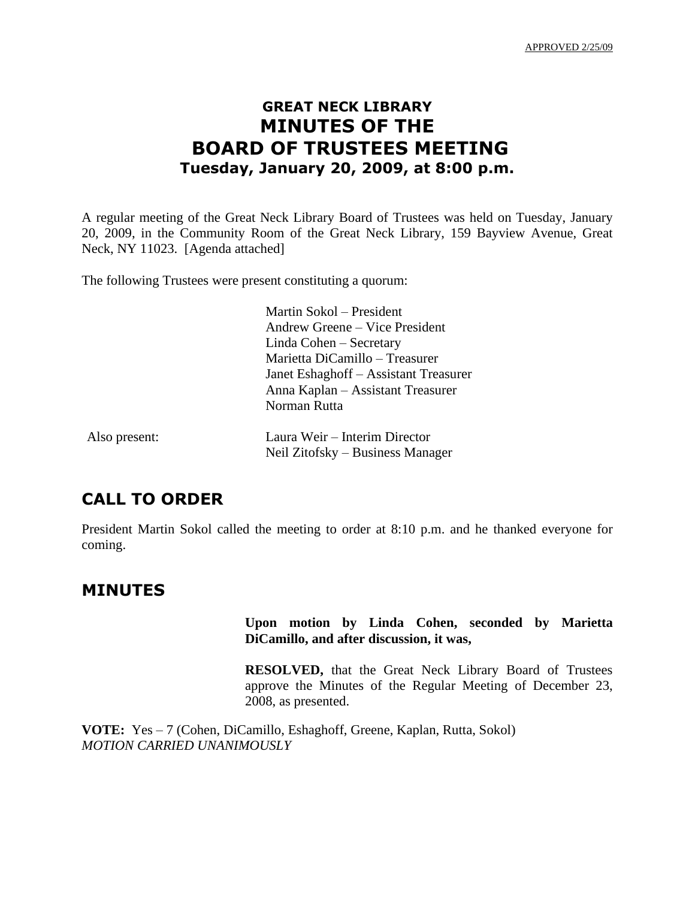# **GREAT NECK LIBRARY MINUTES OF THE BOARD OF TRUSTEES MEETING Tuesday, January 20, 2009, at 8:00 p.m.**

A regular meeting of the Great Neck Library Board of Trustees was held on Tuesday, January 20, 2009, in the Community Room of the Great Neck Library, 159 Bayview Avenue, Great Neck, NY 11023. [Agenda attached]

The following Trustees were present constituting a quorum:

Martin Sokol – President Andrew Greene – Vice President Linda Cohen – Secretary Marietta DiCamillo – Treasurer Janet Eshaghoff – Assistant Treasurer Anna Kaplan – Assistant Treasurer Norman Rutta

| Also present: | Laura Weir – Interim Director    |
|---------------|----------------------------------|
|               | Neil Zitofsky – Business Manager |

## **CALL TO ORDER**

President Martin Sokol called the meeting to order at 8:10 p.m. and he thanked everyone for coming.

## **MINUTES**

### **Upon motion by Linda Cohen, seconded by Marietta DiCamillo, and after discussion, it was,**

**RESOLVED,** that the Great Neck Library Board of Trustees approve the Minutes of the Regular Meeting of December 23, 2008, as presented.

**VOTE:** Yes – 7 (Cohen, DiCamillo, Eshaghoff, Greene, Kaplan, Rutta, Sokol) *MOTION CARRIED UNANIMOUSLY*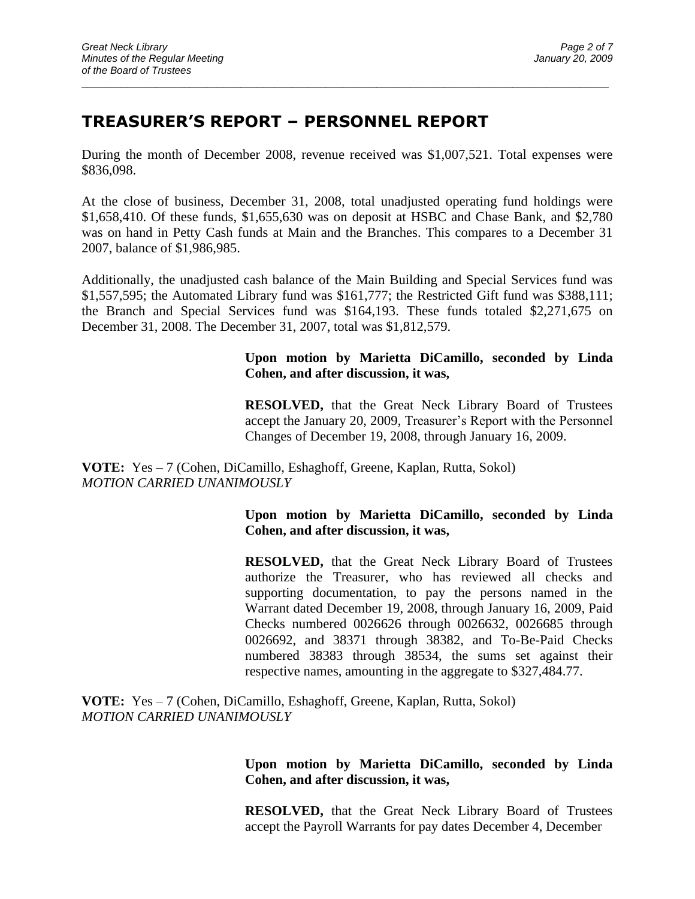# **TREASURER'S REPORT – PERSONNEL REPORT**

During the month of December 2008, revenue received was \$1,007,521. Total expenses were \$836,098.

 $\_$  ,  $\_$  ,  $\_$  ,  $\_$  ,  $\_$  ,  $\_$  ,  $\_$  ,  $\_$  ,  $\_$  ,  $\_$  ,  $\_$  ,  $\_$  ,  $\_$  ,  $\_$  ,  $\_$  ,  $\_$  ,  $\_$  ,  $\_$  ,  $\_$  ,  $\_$  ,  $\_$  ,  $\_$  ,  $\_$  ,  $\_$  ,  $\_$  ,  $\_$  ,  $\_$  ,  $\_$  ,  $\_$  ,  $\_$  ,  $\_$  ,  $\_$  ,  $\_$  ,  $\_$  ,  $\_$  ,  $\_$  ,  $\_$  ,

At the close of business, December 31, 2008, total unadjusted operating fund holdings were \$1,658,410. Of these funds, \$1,655,630 was on deposit at HSBC and Chase Bank, and \$2,780 was on hand in Petty Cash funds at Main and the Branches. This compares to a December 31 2007, balance of \$1,986,985.

Additionally, the unadjusted cash balance of the Main Building and Special Services fund was \$1,557,595; the Automated Library fund was \$161,777; the Restricted Gift fund was \$388,111; the Branch and Special Services fund was \$164,193. These funds totaled \$2,271,675 on December 31, 2008. The December 31, 2007, total was \$1,812,579.

### **Upon motion by Marietta DiCamillo, seconded by Linda Cohen, and after discussion, it was,**

**RESOLVED,** that the Great Neck Library Board of Trustees accept the January 20, 2009, Treasurer's Report with the Personnel Changes of December 19, 2008, through January 16, 2009.

**VOTE:** Yes – 7 (Cohen, DiCamillo, Eshaghoff, Greene, Kaplan, Rutta, Sokol) *MOTION CARRIED UNANIMOUSLY*

#### **Upon motion by Marietta DiCamillo, seconded by Linda Cohen, and after discussion, it was,**

**RESOLVED,** that the Great Neck Library Board of Trustees authorize the Treasurer, who has reviewed all checks and supporting documentation, to pay the persons named in the Warrant dated December 19, 2008, through January 16, 2009, Paid Checks numbered 0026626 through 0026632, 0026685 through 0026692, and 38371 through 38382, and To-Be-Paid Checks numbered 38383 through 38534, the sums set against their respective names, amounting in the aggregate to \$327,484.77.

**VOTE:** Yes – 7 (Cohen, DiCamillo, Eshaghoff, Greene, Kaplan, Rutta, Sokol) *MOTION CARRIED UNANIMOUSLY*

### **Upon motion by Marietta DiCamillo, seconded by Linda Cohen, and after discussion, it was,**

**RESOLVED,** that the Great Neck Library Board of Trustees accept the Payroll Warrants for pay dates December 4, December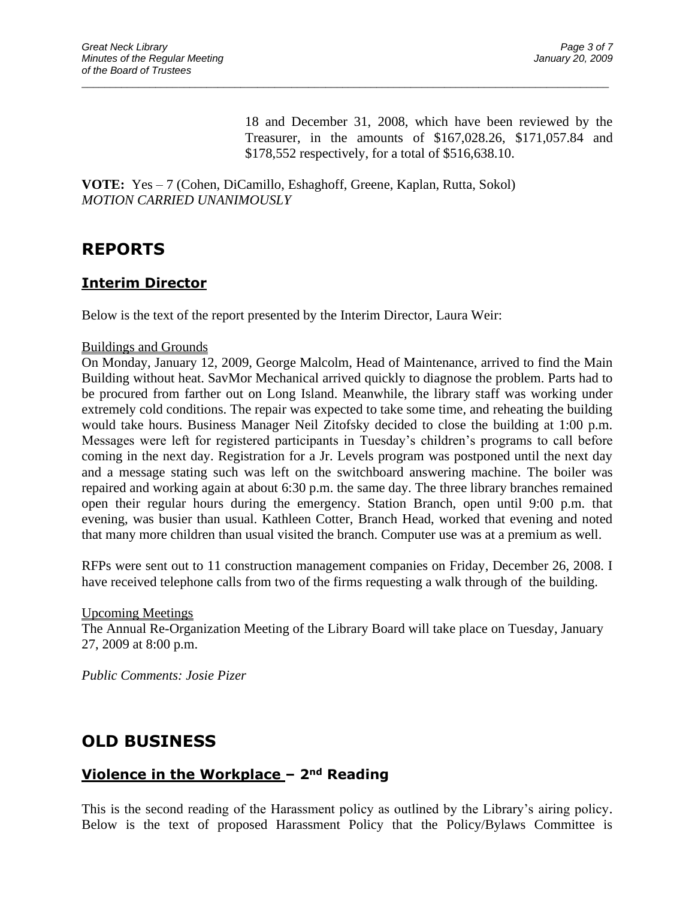18 and December 31, 2008, which have been reviewed by the Treasurer, in the amounts of \$167,028.26, \$171,057.84 and \$178,552 respectively, for a total of \$516,638.10.

**VOTE:** Yes – 7 (Cohen, DiCamillo, Eshaghoff, Greene, Kaplan, Rutta, Sokol) *MOTION CARRIED UNANIMOUSLY*

 $\_$  ,  $\_$  ,  $\_$  ,  $\_$  ,  $\_$  ,  $\_$  ,  $\_$  ,  $\_$  ,  $\_$  ,  $\_$  ,  $\_$  ,  $\_$  ,  $\_$  ,  $\_$  ,  $\_$  ,  $\_$  ,  $\_$  ,  $\_$  ,  $\_$  ,  $\_$  ,  $\_$  ,  $\_$  ,  $\_$  ,  $\_$  ,  $\_$  ,  $\_$  ,  $\_$  ,  $\_$  ,  $\_$  ,  $\_$  ,  $\_$  ,  $\_$  ,  $\_$  ,  $\_$  ,  $\_$  ,  $\_$  ,  $\_$  ,

## **REPORTS**

## **Interim Director**

Below is the text of the report presented by the Interim Director, Laura Weir:

#### Buildings and Grounds

On Monday, January 12, 2009, George Malcolm, Head of Maintenance, arrived to find the Main Building without heat. SavMor Mechanical arrived quickly to diagnose the problem. Parts had to be procured from farther out on Long Island. Meanwhile, the library staff was working under extremely cold conditions. The repair was expected to take some time, and reheating the building would take hours. Business Manager Neil Zitofsky decided to close the building at 1:00 p.m. Messages were left for registered participants in Tuesday's children's programs to call before coming in the next day. Registration for a Jr. Levels program was postponed until the next day and a message stating such was left on the switchboard answering machine. The boiler was repaired and working again at about 6:30 p.m. the same day. The three library branches remained open their regular hours during the emergency. Station Branch, open until 9:00 p.m. that evening, was busier than usual. Kathleen Cotter, Branch Head, worked that evening and noted that many more children than usual visited the branch. Computer use was at a premium as well.

RFPs were sent out to 11 construction management companies on Friday, December 26, 2008. I have received telephone calls from two of the firms requesting a walk through of the building.

Upcoming Meetings

The Annual Re-Organization Meeting of the Library Board will take place on Tuesday, January 27, 2009 at 8:00 p.m.

*Public Comments: Josie Pizer*

# **OLD BUSINESS**

## **Violence in the Workplace – 2nd Reading**

This is the second reading of the Harassment policy as outlined by the Library's airing policy. Below is the text of proposed Harassment Policy that the Policy/Bylaws Committee is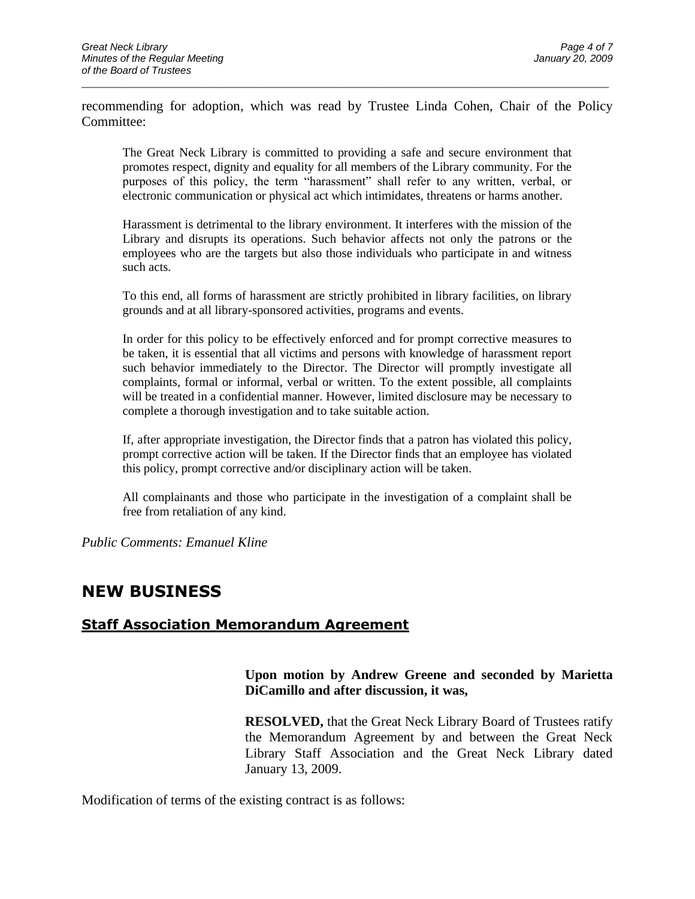recommending for adoption, which was read by Trustee Linda Cohen, Chair of the Policy Committee:

 $\_$  ,  $\_$  ,  $\_$  ,  $\_$  ,  $\_$  ,  $\_$  ,  $\_$  ,  $\_$  ,  $\_$  ,  $\_$  ,  $\_$  ,  $\_$  ,  $\_$  ,  $\_$  ,  $\_$  ,  $\_$  ,  $\_$  ,  $\_$  ,  $\_$  ,  $\_$  ,  $\_$  ,  $\_$  ,  $\_$  ,  $\_$  ,  $\_$  ,  $\_$  ,  $\_$  ,  $\_$  ,  $\_$  ,  $\_$  ,  $\_$  ,  $\_$  ,  $\_$  ,  $\_$  ,  $\_$  ,  $\_$  ,  $\_$  ,

The Great Neck Library is committed to providing a safe and secure environment that promotes respect, dignity and equality for all members of the Library community. For the purposes of this policy, the term "harassment" shall refer to any written, verbal, or electronic communication or physical act which intimidates, threatens or harms another.

Harassment is detrimental to the library environment. It interferes with the mission of the Library and disrupts its operations. Such behavior affects not only the patrons or the employees who are the targets but also those individuals who participate in and witness such acts.

To this end, all forms of harassment are strictly prohibited in library facilities, on library grounds and at all library-sponsored activities, programs and events.

In order for this policy to be effectively enforced and for prompt corrective measures to be taken, it is essential that all victims and persons with knowledge of harassment report such behavior immediately to the Director. The Director will promptly investigate all complaints, formal or informal, verbal or written. To the extent possible, all complaints will be treated in a confidential manner. However, limited disclosure may be necessary to complete a thorough investigation and to take suitable action.

If, after appropriate investigation, the Director finds that a patron has violated this policy, prompt corrective action will be taken. If the Director finds that an employee has violated this policy, prompt corrective and/or disciplinary action will be taken.

All complainants and those who participate in the investigation of a complaint shall be free from retaliation of any kind.

*Public Comments: Emanuel Kline*

## **NEW BUSINESS**

## **Staff Association Memorandum Agreement**

### **Upon motion by Andrew Greene and seconded by Marietta DiCamillo and after discussion, it was,**

**RESOLVED,** that the Great Neck Library Board of Trustees ratify the Memorandum Agreement by and between the Great Neck Library Staff Association and the Great Neck Library dated January 13, 2009.

Modification of terms of the existing contract is as follows: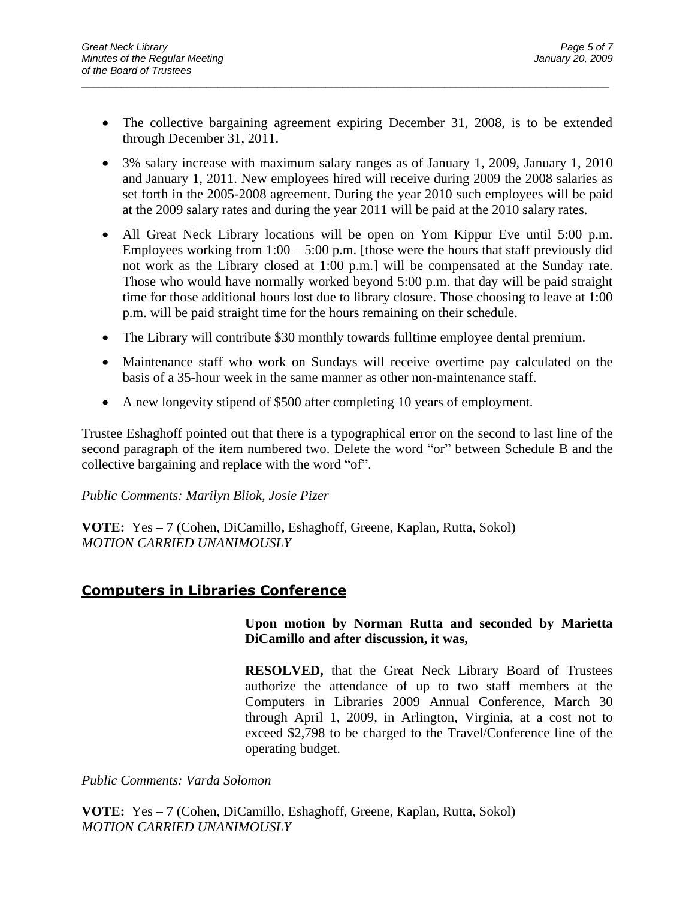• The collective bargaining agreement expiring December 31, 2008, is to be extended through December 31, 2011.

 $\_$  ,  $\_$  ,  $\_$  ,  $\_$  ,  $\_$  ,  $\_$  ,  $\_$  ,  $\_$  ,  $\_$  ,  $\_$  ,  $\_$  ,  $\_$  ,  $\_$  ,  $\_$  ,  $\_$  ,  $\_$  ,  $\_$  ,  $\_$  ,  $\_$  ,  $\_$  ,  $\_$  ,  $\_$  ,  $\_$  ,  $\_$  ,  $\_$  ,  $\_$  ,  $\_$  ,  $\_$  ,  $\_$  ,  $\_$  ,  $\_$  ,  $\_$  ,  $\_$  ,  $\_$  ,  $\_$  ,  $\_$  ,  $\_$  ,

- 3% salary increase with maximum salary ranges as of January 1, 2009, January 1, 2010 and January 1, 2011. New employees hired will receive during 2009 the 2008 salaries as set forth in the 2005-2008 agreement. During the year 2010 such employees will be paid at the 2009 salary rates and during the year 2011 will be paid at the 2010 salary rates.
- All Great Neck Library locations will be open on Yom Kippur Eve until 5:00 p.m. Employees working from  $1:00 - 5:00$  p.m. [those were the hours that staff previously did not work as the Library closed at 1:00 p.m.] will be compensated at the Sunday rate. Those who would have normally worked beyond 5:00 p.m. that day will be paid straight time for those additional hours lost due to library closure. Those choosing to leave at 1:00 p.m. will be paid straight time for the hours remaining on their schedule.
- The Library will contribute \$30 monthly towards fulltime employee dental premium.
- Maintenance staff who work on Sundays will receive overtime pay calculated on the basis of a 35-hour week in the same manner as other non-maintenance staff.
- A new longevity stipend of \$500 after completing 10 years of employment.

Trustee Eshaghoff pointed out that there is a typographical error on the second to last line of the second paragraph of the item numbered two. Delete the word "or" between Schedule B and the collective bargaining and replace with the word "of".

#### *Public Comments: Marilyn Bliok, Josie Pizer*

**VOTE:** Yes **–** 7 (Cohen, DiCamillo**,** Eshaghoff, Greene, Kaplan, Rutta, Sokol) *MOTION CARRIED UNANIMOUSLY*

### **Computers in Libraries Conference**

#### **Upon motion by Norman Rutta and seconded by Marietta DiCamillo and after discussion, it was,**

**RESOLVED,** that the Great Neck Library Board of Trustees authorize the attendance of up to two staff members at the Computers in Libraries 2009 Annual Conference, March 30 through April 1, 2009, in Arlington, Virginia, at a cost not to exceed \$2,798 to be charged to the Travel/Conference line of the operating budget.

*Public Comments: Varda Solomon*

**VOTE:** Yes **–** 7 (Cohen, DiCamillo, Eshaghoff, Greene, Kaplan, Rutta, Sokol) *MOTION CARRIED UNANIMOUSLY*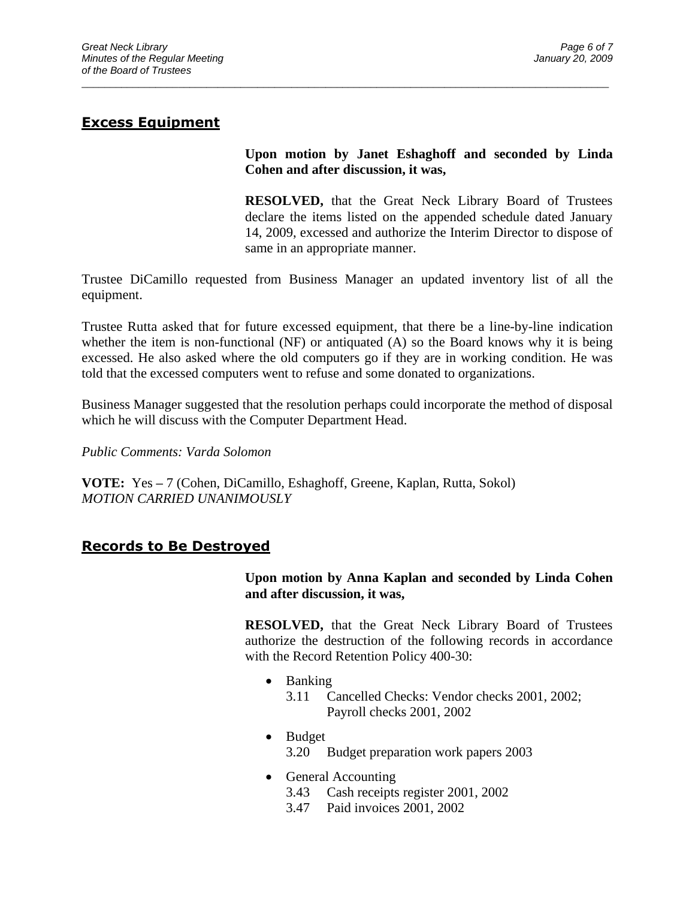## **Excess Equipment**

**Upon motion by Janet Eshaghoff and seconded by Linda Cohen and after discussion, it was,**

**RESOLVED,** that the Great Neck Library Board of Trustees declare the items listed on the appended schedule dated January 14, 2009, excessed and authorize the Interim Director to dispose of same in an appropriate manner.

Trustee DiCamillo requested from Business Manager an updated inventory list of all the equipment.

 $\_$  ,  $\_$  ,  $\_$  ,  $\_$  ,  $\_$  ,  $\_$  ,  $\_$  ,  $\_$  ,  $\_$  ,  $\_$  ,  $\_$  ,  $\_$  ,  $\_$  ,  $\_$  ,  $\_$  ,  $\_$  ,  $\_$  ,  $\_$  ,  $\_$  ,  $\_$  ,  $\_$  ,  $\_$  ,  $\_$  ,  $\_$  ,  $\_$  ,  $\_$  ,  $\_$  ,  $\_$  ,  $\_$  ,  $\_$  ,  $\_$  ,  $\_$  ,  $\_$  ,  $\_$  ,  $\_$  ,  $\_$  ,  $\_$  ,

Trustee Rutta asked that for future excessed equipment, that there be a line-by-line indication whether the item is non-functional (NF) or antiquated (A) so the Board knows why it is being excessed. He also asked where the old computers go if they are in working condition. He was told that the excessed computers went to refuse and some donated to organizations.

Business Manager suggested that the resolution perhaps could incorporate the method of disposal which he will discuss with the Computer Department Head.

*Public Comments: Varda Solomon*

**VOTE:** Yes **–** 7 (Cohen, DiCamillo, Eshaghoff, Greene, Kaplan, Rutta, Sokol) *MOTION CARRIED UNANIMOUSLY*

## **Records to Be Destroyed**

**Upon motion by Anna Kaplan and seconded by Linda Cohen and after discussion, it was,**

**RESOLVED,** that the Great Neck Library Board of Trustees authorize the destruction of the following records in accordance with the Record Retention Policy 400-30:

- Banking
	- 3.11 Cancelled Checks: Vendor checks 2001, 2002; Payroll checks 2001, 2002
- Budget 3.20 Budget preparation work papers 2003
- General Accounting
	- 3.43 Cash receipts register 2001, 2002
	- 3.47 Paid invoices 2001, 2002